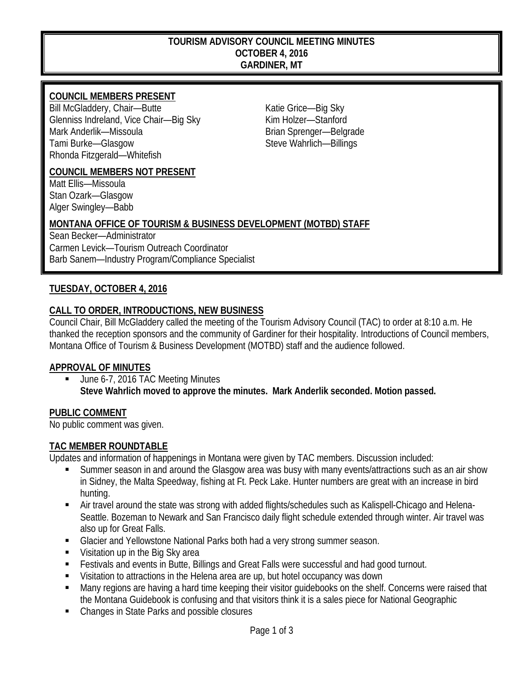#### **TOURISM ADVISORY COUNCIL MEETING MINUTES OCTOBER 4, 2016 GARDINER, MT**

### **COUNCIL MEMBERS PRESENT**

Bill McGladdery, Chair—Butte Katie Grice—Big Sky Glenniss Indreland, Vice Chair—Big Sky Kim Holzer—Stanford Mark Anderlik—Missoula and a state of the Brian Sprenger—Belgrade Tami Burke—Glasgow Steve Wahrlich—Billings Rhonda Fitzgerald—Whitefish

#### **COUNCIL MEMBERS NOT PRESENT**

Matt Ellis—Missoula Stan Ozark—Glasgow Alger Swingley—Babb

#### **MONTANA OFFICE OF TOURISM & BUSINESS DEVELOPMENT (MOTBD) STAFF**

Sean Becker—Administrator Carmen Levick—Tourism Outreach Coordinator Barb Sanem—Industry Program/Compliance Specialist

#### **TUESDAY, OCTOBER 4, 2016**

## **CALL TO ORDER, INTRODUCTIONS, NEW BUSINESS**

Council Chair, Bill McGladdery called the meeting of the Tourism Advisory Council (TAC) to order at 8:10 a.m. He thanked the reception sponsors and the community of Gardiner for their hospitality. Introductions of Council members, Montana Office of Tourism & Business Development (MOTBD) staff and the audience followed.

#### **APPROVAL OF MINUTES**

 June 6-7, 2016 TAC Meeting Minutes **Steve Wahrlich moved to approve the minutes. Mark Anderlik seconded. Motion passed.**

#### **PUBLIC COMMENT**

No public comment was given.

#### **TAC MEMBER ROUNDTABLE**

Updates and information of happenings in Montana were given by TAC members. Discussion included:

- Summer season in and around the Glasgow area was busy with many events/attractions such as an air show in Sidney, the Malta Speedway, fishing at Ft. Peck Lake. Hunter numbers are great with an increase in bird hunting.
- Air travel around the state was strong with added flights/schedules such as Kalispell-Chicago and Helena-Seattle. Bozeman to Newark and San Francisco daily flight schedule extended through winter. Air travel was also up for Great Falls.
- Glacier and Yellowstone National Parks both had a very strong summer season.
- **Visitation up in the Big Sky area**
- **Festivals and events in Butte, Billings and Great Falls were successful and had good turnout.**
- Visitation to attractions in the Helena area are up, but hotel occupancy was down
- Many regions are having a hard time keeping their visitor guidebooks on the shelf. Concerns were raised that the Montana Guidebook is confusing and that visitors think it is a sales piece for National Geographic
- Changes in State Parks and possible closures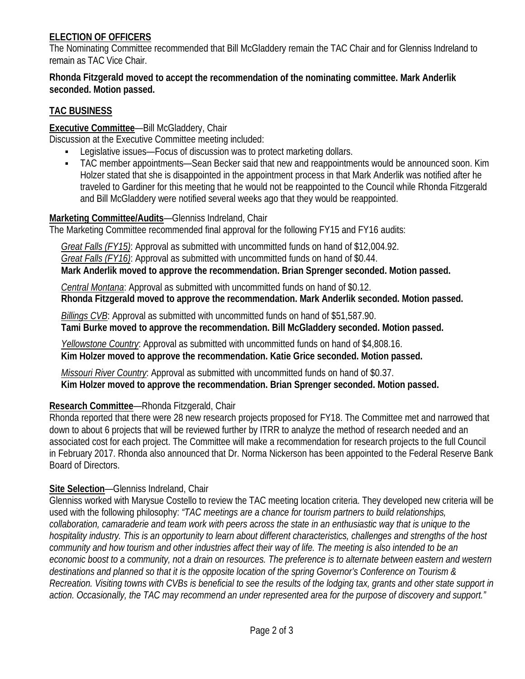## **ELECTION OF OFFICERS**

The Nominating Committee recommended that Bill McGladdery remain the TAC Chair and for Glenniss Indreland to remain as TAC Vice Chair.

#### **Rhonda Fitzgerald moved to accept the recommendation of the nominating committee. Mark Anderlik seconded. Motion passed.**

## **TAC BUSINESS**

**Executive Committee**—Bill McGladdery, Chair

Discussion at the Executive Committee meeting included:

- Legislative issues—Focus of discussion was to protect marketing dollars.
- TAC member appointments—Sean Becker said that new and reappointments would be announced soon. Kim Holzer stated that she is disappointed in the appointment process in that Mark Anderlik was notified after he traveled to Gardiner for this meeting that he would not be reappointed to the Council while Rhonda Fitzgerald and Bill McGladdery were notified several weeks ago that they would be reappointed.

#### **Marketing Committee/Audits**—Glenniss Indreland, Chair

The Marketing Committee recommended final approval for the following FY15 and FY16 audits:

 *Great Falls (FY15)*: Approval as submitted with uncommitted funds on hand of \$12,004.92.  *Great Falls (FY16)*: Approval as submitted with uncommitted funds on hand of \$0.44.  **Mark Anderlik moved to approve the recommendation. Brian Sprenger seconded. Motion passed.**

 *Central Montana*: Approval as submitted with uncommitted funds on hand of \$0.12.  **Rhonda Fitzgerald moved to approve the recommendation. Mark Anderlik seconded. Motion passed.**

 *Billings CVB*: Approval as submitted with uncommitted funds on hand of \$51,587.90.  **Tami Burke moved to approve the recommendation. Bill McGladdery seconded. Motion passed.**

 *Yellowstone Country*: Approval as submitted with uncommitted funds on hand of \$4,808.16.  **Kim Holzer moved to approve the recommendation. Katie Grice seconded. Motion passed.**

 *Missouri River Country*: Approval as submitted with uncommitted funds on hand of \$0.37.  **Kim Holzer moved to approve the recommendation. Brian Sprenger seconded. Motion passed.**

## **Research Committee**—Rhonda Fitzgerald, Chair

Rhonda reported that there were 28 new research projects proposed for FY18. The Committee met and narrowed that down to about 6 projects that will be reviewed further by ITRR to analyze the method of research needed and an associated cost for each project. The Committee will make a recommendation for research projects to the full Council in February 2017. Rhonda also announced that Dr. Norma Nickerson has been appointed to the Federal Reserve Bank Board of Directors.

## **Site Selection**—Glenniss Indreland, Chair

Glenniss worked with Marysue Costello to review the TAC meeting location criteria. They developed new criteria will be used with the following philosophy: *"TAC meetings are a chance for tourism partners to build relationships, collaboration, camaraderie and team work with peers across the state in an enthusiastic way that is unique to the hospitality industry. This is an opportunity to learn about different characteristics, challenges and strengths of the host community and how tourism and other industries affect their way of life. The meeting is also intended to be an economic boost to a community, not a drain on resources. The preference is to alternate between eastern and western destinations and planned so that it is the opposite location of the spring Governor's Conference on Tourism & Recreation. Visiting towns with CVBs is beneficial to see the results of the lodging tax, grants and other state support in action. Occasionally, the TAC may recommend an under represented area for the purpose of discovery and support."*